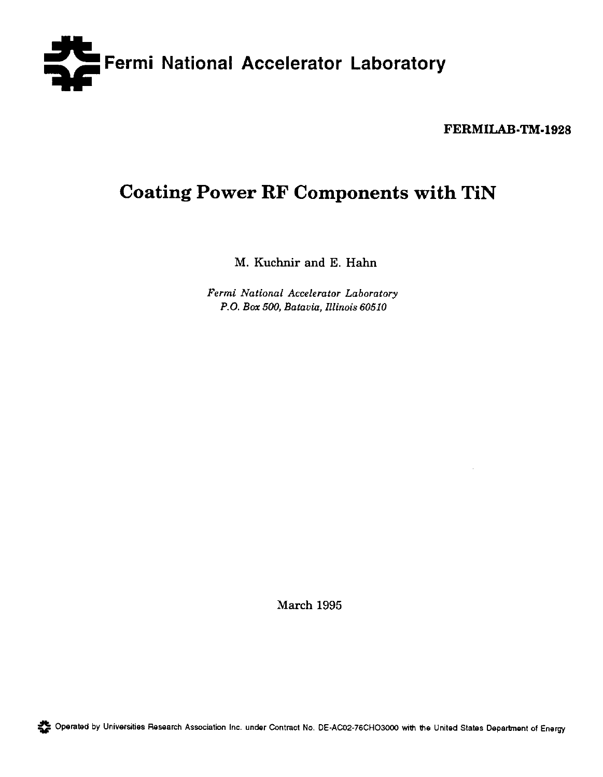

FERMILAB-TM-1928

# Coating Power RF Components with TiN

M. Kuchnir and E. Hahn

Fermi Nationai Accelerator Laboratory P.O. Box 500, Batavia. Illinois 60510

March 1995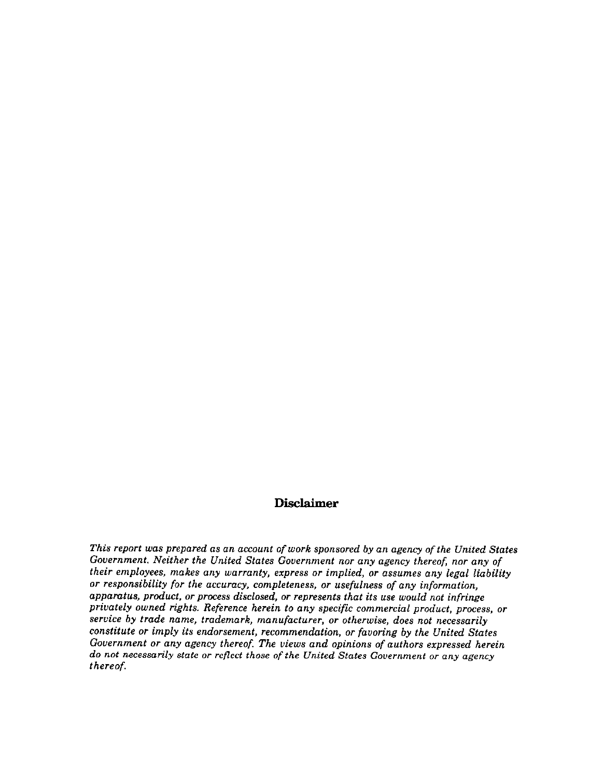# Disclaimer

This report was prepared as an account of work sponsored by an agency of the United States Government. Neither the United States Gouernment nor any agency thereof, nor any of their employees, makes any warranty, express or implied, or asumes any legal liability or responsibility for the accuracy, completeness, or usefulness of any information, appamtus, product, or process disclosed, or represents that its use would not infringe privately owned rights. Reference herein to any specific commercial product, process, or service by trade name, trademark, manufacturer, or otherwise, does not necessarily constitute or imply its endorsement, recommendation, or favoring by the United States Government or any agency thereof, The views and opinions of authors expressed herein do not necessarily state or reflect those of the United States Government or any agency thereof.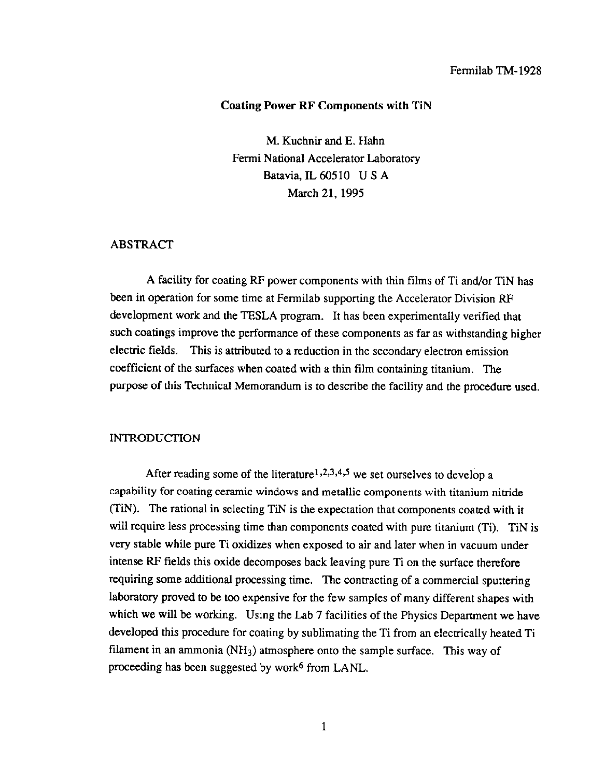#### Fermilab TM-1928

## Coating Power RF Components with TiN

M. Kuchnir and E. Hahn Fermi National Accelerator Laboratory Batavia, IL 60510 U S A March 21, 1995

# ABSTRACT

A facility for coating RF power components with thin films of Ti and/or TiN has been in operation for some time at Fermilab supporting the Accelerator Division RF development work and the TESLA program. It has been experimentally verified that such coatings improve the performance of these components as far as withstanding higher electric fields. This is attributed to a reduction in the secondary electron emission coefficient of the surfaces when coated with a thin film containing titanium. The purpose of this Technical Memorandum is to describe the facility and the procedure used.

#### **INTRODUCTION**

After reading some of the literature<sup>1,2,3,4,5</sup> we set ourselves to develop a capability for coating ceramic windows and metallic components with titanium nitride (TiN). The rational in selecting TiN is the expectation that components coated with it will require less processing time than components coated with pure titanium (Ti). TiN is very stable while pure Ti oxidizes when exposed to air and later when in vacuum under intense RF fields this oxide decomposes back leaving pure Ti on the surface therefore requiring some additional processing time. The contracting of a commercial sputtering laboratory proved to be too expensive for the few samples of many different shapes with which we will be working. Using the Lab 7 facilities of the Physics Department we have developed this procedure for coating by sublimating the Ti from an electrically heated Ti filament in an ammonia ( $NH<sub>3</sub>$ ) atmosphere onto the sample surface. This way of proceeding has been suggested by work $6$  from LANL.

I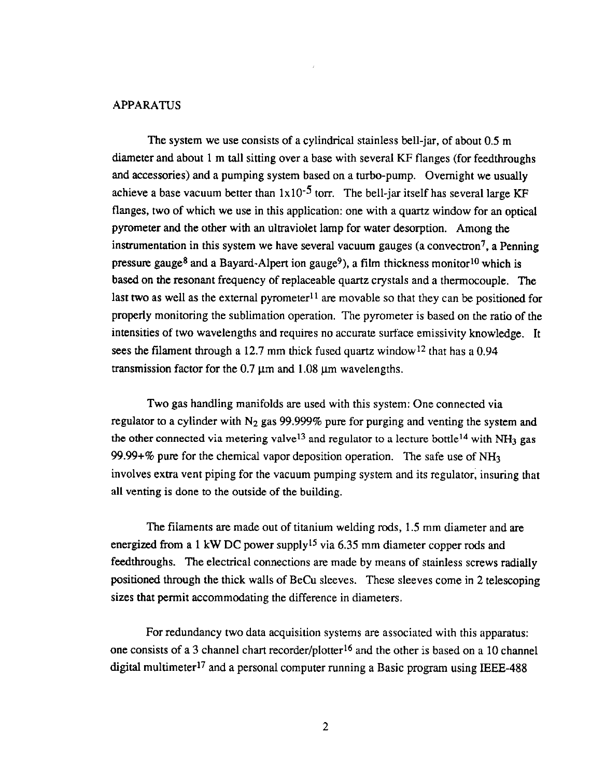## APPARATUS

The system we use consists of a cylindrical stainless bell-jar, of about 0.5 m diameter and about 1 m tall sitting over a base with several KF flanges (for feedthroughs and accessories) and a pumping system based on a turbo-pump. Overnight we usually achieve a base vacuum better than  $1x10^{-5}$  torr. The bell-jar itself has several large KF flanges, two of which we use in this application: one with a quartz window for an optical pyrometer and the other with an ultraviolet lamp for water desorption. Among the instrumentation in this system we have several vacuum gauges (a convectron<sup>7</sup>, a Penning pressure gauge<sup>8</sup> and a Bayard-Alpert ion gauge<sup>9</sup>), a film thickness monitor<sup>10</sup> which is based on the resonant frequency of replaceable quartz crystals and a thermocouple. The last two as well as the external pyrometer<sup>11</sup> are movable so that they can be positioned for properly monitoring the sublimation operation. The pyrometer is based on the ratio of the intensities of two wavelengths and requires no accurate surface emissivity knowledge. It sees the filament through a 12.7 mm thick fused quartz window<sup>12</sup> that has a 0.94 transmission factor for the 0.7  $\mu$ m and 1.08  $\mu$ m wavelengths.

Two gas handling manifolds are used with this system: One connected via regulator to a cylinder with  $N_2$  gas 99.999% pure for purging and venting the system and the other connected via metering valve<sup>13</sup> and regulator to a lecture bottle<sup>14</sup> with NH<sub>3</sub> gas 99.99+% pure for the chemical vapor deposition operation. The safe use of  $NH<sub>3</sub>$ involves extra vent piping for the vacuum pumping system and its regulator; insuring that all venting is done to the outside of the building.

The filaments are made out of titanium welding rods, 1.5 mm diameter and are energized from a 1 kW DC power supply<sup>15</sup> via 6.35 mm diameter copper rods and feedthroughs. The electrical connections are made by means of stainless screws radially positioned through the thick walls of BeCu sleeves. These sleeves come in 2 telescoping sizes that permit accommodating the difference in diameters.

For redundancy two data acquisition systems are associated with this apparatus: one consists of a 3 channel chart recorder/plotter<sup>16</sup> and the other is based on a 10 channel digital multimeter<sup>17</sup> and a personal computer running a Basic program using IEEE-488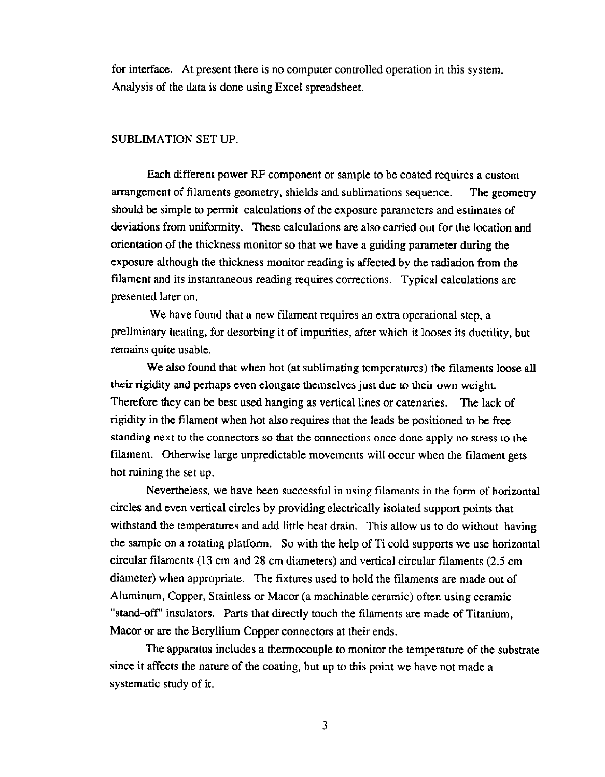for interface. At present there is no computer controlled operation in this system. Analysis of the data is done using Excel spreadsheet.

## SUBLIMATION SET UP.

Each different power BP component or sample to be coated requires a custom arrangement of filaments geometry, shields and sublimations sequence. The geometry should be simple to permit calculations of the exposure parameters and estimates of deviations from uniformity. These calculations are also carried out for the location and orientation of the thickness monitor so that we have a guiding parameter during the exposure although the thickness monitor reading is affected by the radiation from the filament and its instantaneous reading requires corrections. Typical calculations are presented later on.

We have found that a new filament requires an extra operational step, a preliminary heating, for desorbing it of impurities, after which it looses its ductility, but remains quite usable.

We also found that when hot (at sublimating temperatures) the filaments loose all their rigidity and perhaps even elongate themselves just due to their own weight. Therefore they can be best used hanging as vertical lines or catenaries. The lack of rigidity in the filament when hot also requires that the leads be positioned to be free standing next to the connectors so that the connections once done apply no stress to the filament. Otherwise large unpredictable movements will occur when the filament gets hot ruining the set up.

Nevertheless, we have been successful in using filaments in the form of horizontal circles and even vertical circles by providing electrically isolated support points that withstand the temperatures and add little heat drain. This allow us to do without having the sample on a rotating platform. So with the help of Ti cold supports we use horizontal circular filaments (13 cm and 28 cm diameters) and vertical circular filaments (2.5 cm diameter) when appropriate. The fixtures used to hold the filaments are made out of Aluminum, Copper, Stainless or Macor (a machinable ceramic) often using ceramic "stand-off" insulators. Parts that directly touch the filaments are made of Titanium, Macor or are the Beryllium Copper connectors at their ends.

The apparatus includes a thermocouple to monitor the temperature of the substrate since it affects the nature of the coating, but up to this point we have not made a systematic study of it.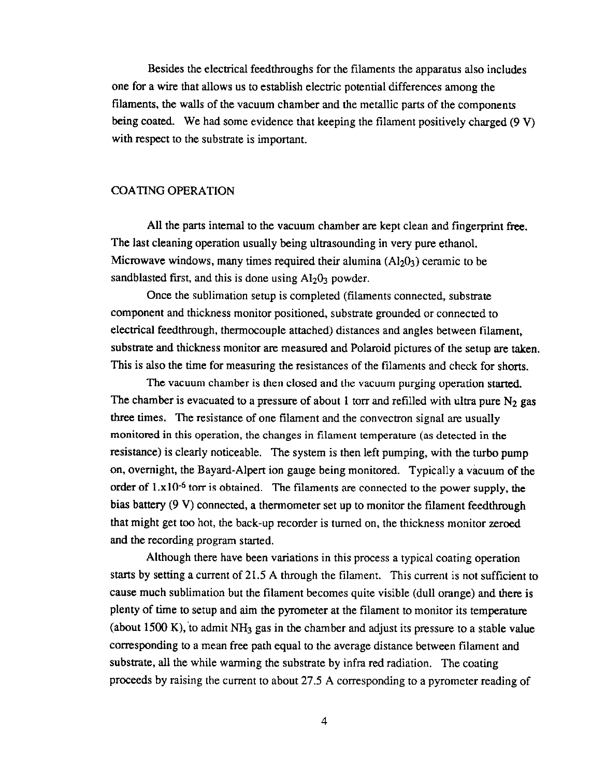Besides the electrical feedthroughs for the filaments the apparatus also includes one for a wire that allows us to establish electric potential differences among the filaments, the walls of the vacuum chamber and the metallic parts of the components being coated. We had some evidence that keeping the filament positively charged (9 V) with respect to the substrate is important.

# COATING OPERATION

All the parts internal to the vacuum chamber are kept clean and fingerprint free. The last cleaning operation usually being ultrasounding in very pure ethanol. Microwave windows, many times required their alumina  $(Al_2O_3)$  ceramic to be sandblasted first, and this is done using  $Al_2O_3$  powder.

Once the sublimation setup is completed (filaments connected, substrate component and thickness monitor positioned, substrate grounded or connected to electrical feedthrough, thermocouple attached) distances and angles between filament, substrate and thickness monitor are measured and Polaroid pictures of the setup are taken. This is also the time for measuring the resistances of the filaments and check for shorts.

The vacuum chamber is then closed and the vacuum purging operation started. The chamber is evacuated to a pressure of about 1 torr and refilled with ultra pure  $N_2$  gas three times. The resistance of one filament and the convectron signal are usually monitored in this operation, the changes in filament temperature (as detected in the resistance) is clearly noticeable. The system is then left pumping, with the turbo pump on, overnight, the Bayard-Alpert ion gauge being monitored. Typically a vacuum of the order of  $1.x10^{-6}$  torr is obtained. The filaments are connected to the power supply, the bias battery (9 V) connected, a thermometer set up to monitor the filament feedthrough that might get too hot, the back-up recorder is turned on, the thickness monitor zeroed and the recording program started.

Although there have been variations in this process a typical coating operation starts by setting a current of 21.5 A through the filament. This current is not sufficient to cause much sublimation but the filament becomes quite visible (dull orange) and there is plenty of time to setup and aim the pyrometer at the filament to monitor its temperature (about 1500 K), to admit  $NH_3$  gas in the chamber and adjust its pressure to a stable value corresponding to a mean free path equal to the average distance between filament and substrate, all the while warming the substrate by infra red radiation. The coating proceeds by raising the current to about 27.5 A corresponding to a pyrometer reading of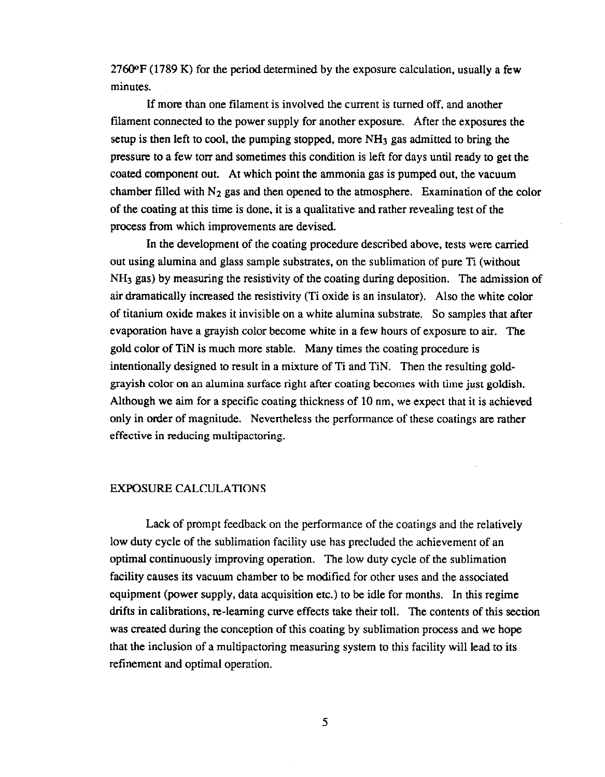$2760$ <sup>o</sup>F (1789 K) for the period determined by the exposure calculation, usually a few minutes.

If more than one filament is involved the current is turned off, and another filament connected to the power supply for another exposure. After the exposures the setup is then left to cool, the pumping stopped, more  $NH<sub>3</sub>$  gas admitted to bring the pressure to a few torr and sometimes this condition is left for days until ready to get the coated component out. At which point the ammonia gas is pumped out, the vacuum chamber filled with  $N_2$  gas and then opened to the atmosphere. Examination of the color of the coating at this time is done, it is a qualitative and rather revealing test of the process from which improvements are devised.

In the development of the coating procedure described above, tests were carried out using alumina and glass sample substrates, on the sublimation of pure Ti (without NH<sub>3</sub> gas) by measuring the resistivity of the coating during deposition. The admission of air dramatically increased the resistivity (Ti oxide is an insulator). Also the white color of titanium oxide makes it invisible on a white alumina substrate. So samples that after evaporation have a grayish color become white in a few hours of exposure to air. The gold color of TiN is much more stable. Many times the coating procedure is intentionally designed to result in a mixture of Ti and TiN. Then the resulting goldgrayish color on an alumina surface right after coating becomes with time just goldish. Although we aim for a specific coating thickness of 10 nm, we expect that it is achieved only in order of magnitude. Nevertheless the performance of these coatings are rather effective in reducing multipactoring.

### EXPOSURE CALCULATIONS

Lack of prompt feedback on the performance of the coatings and the relatively low duty cycle of the sublimation facility use has precluded the achievement of an optimal continuously improving operation. The low duty cycle of the sublimation facility causes its vacuum chamber to be modified for other uses and the associated equipment (power supply, data acquisition etc.) to be idle for months. In this regime drifts in calibrations, re-learning curve effects take their toll. The contents of this section was created during the conception of this coating by sublimation process and we hope that the inclusion of a multipactoring measuring system to this facility will lead to its refinement and optimal operation.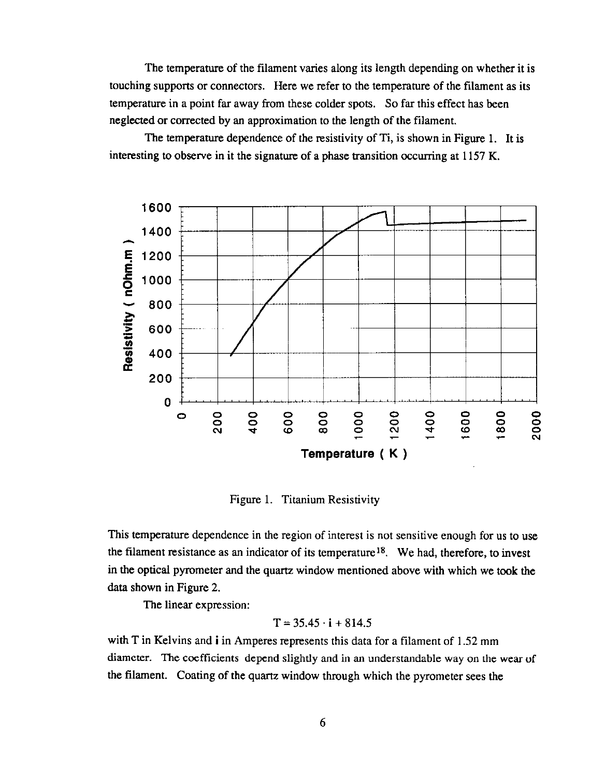The temperature of the filament varies along its length depending on whether it is touching supports or connectors. Here we refer to the temperature of the filament as its temperature in a point far away from these colder spots. So far this effect has been neglected or corrected by an approximation to the length of the filament.

The temperature dependence of the resistivity of Ti, is shown in Figure 1. It is interesting to observe in it the signature of a phase transition occurring at 1157 K.



Figure 1. Titanium Resistivity

This temperature dependence in the region of interest is not sensitive enough for us to use the filament resistance as an indicator of its temperature<sup>18</sup>. We had, therefore, to invest in the optical pyrometer and the quartz window mentioned above with which we took the data shown in Figure 2.

The linear expression:

$$
T = 35.45 \cdot i + 814.5
$$

with T in Kelvins and **i** in Amperes represents this data for a filament of 1.52 mm diameter. The coefficients depend slightly and in an understandable way on the wear of the filament. Coating of the quartz window through which the pyrometer sees the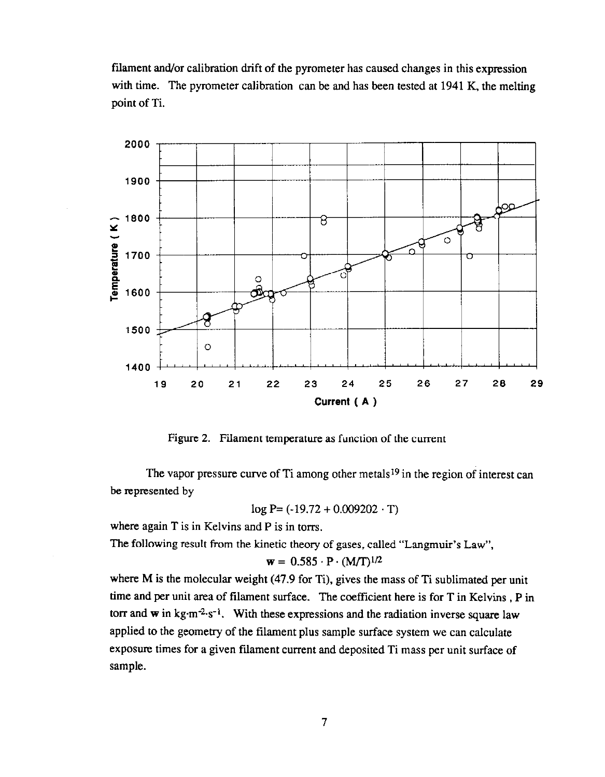filament and/or calibration drift of the pyrometer has caused changes in this expression with time. The pyrometer calibration can be and has been tested at 1941 K, the melting point of Ti.



Figure 2. Filament temperature as function of the current

The vapor pressure curve of Ti among other metals<sup>19</sup> in the region of interest can be represented by

 $log P = (-19.72 + 0.009202 \cdot T)$ 

where again T is in Kelvins and P is in torrs.

The following result from the kinetic theory of gases, called "Langmuir's Law",

$$
\mathbf{w} = 0.585 \cdot \mathbf{P} \cdot (\mathbf{M}/\mathbf{T})^{1/2}
$$

where M is the molecular weight (47.9 for Ti), gives the mass of Ti sublimated per unit time and per unit area of filament surface. The coefficient here is for T in Kelvins, P in torr and w in kg·m<sup>-2</sup>·s<sup>-1</sup>. With these expressions and the radiation inverse square law applied to the geometry of the filament plus sample surface system we can calculate exposure times for a given filament current and deposited Ti mass per unit surface of sample.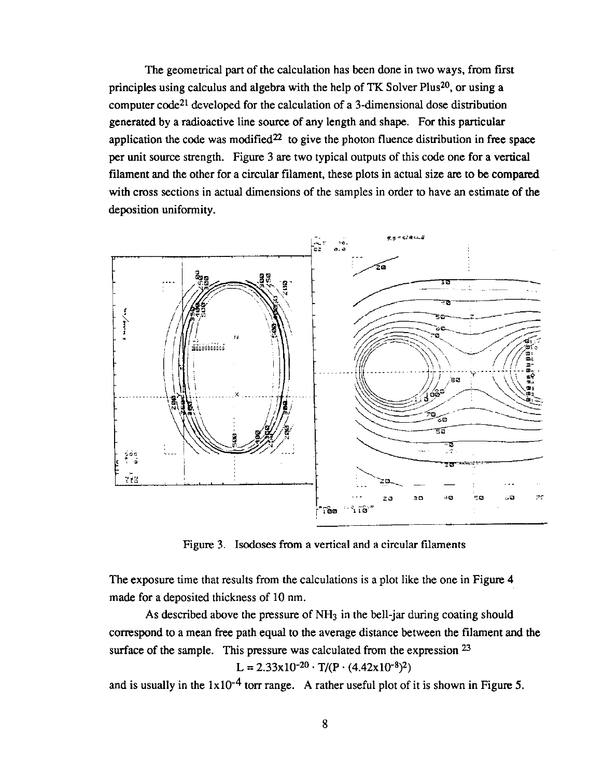The geometrical part of the calculation has been done in two ways, from first principles using calculus and algebra with the help of TK Solver Plus<sup>20</sup>, or using a computer code<sup>21</sup> developed for the calculation of a 3-dimensional dose distribution generated by a radioactive line source of any length and shape. For this particular application the code was modified<sup>22</sup> to give the photon fluence distribution in free space per unit source strength. Figure 3 are two typical outputs of this code one for a vertical filament and the other for a circular filament, these plots in actual size are to be compared with cross sections in actual dimensions of the samples in order to have an estimate of the deposition uniformity.



Figure 3. Iscdoses from a vertical and a circular filaments

The exposure time that results from the calculations is a plot like the one in Figure 4 made for a deposited thickness of 10 nm.

As described above the pressure of NH<sub>3</sub> in the bell-jar during coating should correspond to a mean free path equal to the average distance between the filament and the surface of the sample. This pressure was calculated from the expression  $23$  $L = 2.33x10^{-20} \cdot T/(P \cdot (4.42x10^{-8})^2)$ 

and is usually in the  $1x10^{-4}$  torr range. A rather useful plot of it is shown in Figure 5.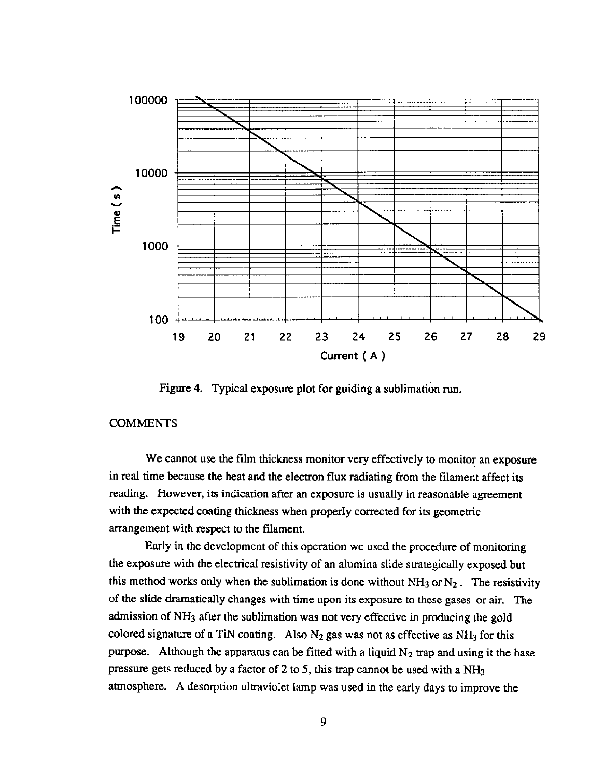

Figure 4. Typical exposure plot for guiding a sublimation run.

# **COMMENTS**

We cannot use the film thickness monitor very effectively to monitor an exposure in real time because the heat and the electron flux radiating from the filament affect its reading. However, its indication after an exposure is usually in reasonable agreement with the expected coating thickness when properly corrected for its geometric arrangement with respect to the filament.

Early in the development of this operation we used the procedure of monitoring the exposure with the electrical resistivity of an alumina slide strategically exposed but this method works only when the sublimation is done without  $NH_3$  or  $N_2$ . The resistivity of the slide dramatically changes with time upon its exposure to these gases or air. The admission of NH<sub>3</sub> after the sublimation was not very effective in producing the gold colored signature of a TiN coating. Also  $N_2$  gas was not as effective as NH<sub>3</sub> for this purpose. Although the apparatus can be fitted with a liquid  $N_2$  trap and using it the base pressure gets reduced by a factor of 2 to 5, this trap cannot be used with a NH3 atmosphere. A desorption ultraviolet lamp was used in the early days to improve the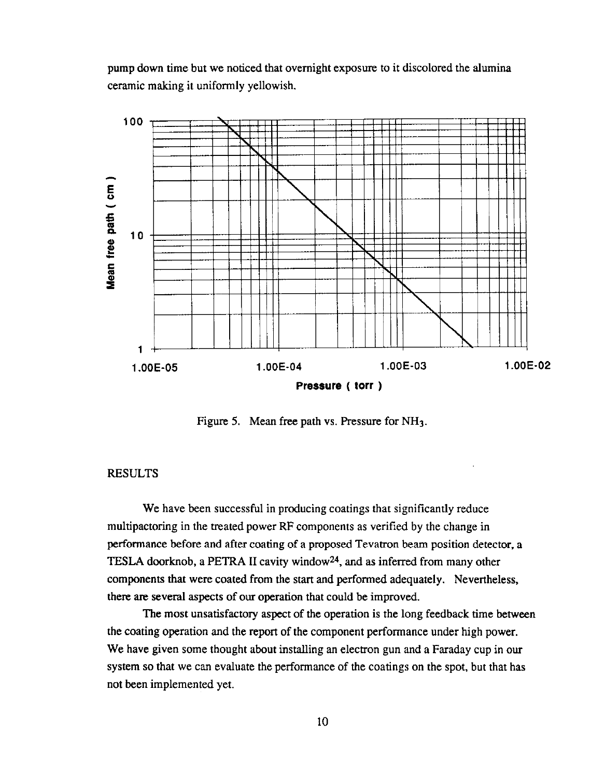pump down time but we noticed that overnight exposure to it discolored the alumina ceramic making it uniformly yellowish.



Figure 5. Mean free path vs. Pressure for NH<sub>3</sub>.

# **RESULTS**

We have been successful in producing coatings that significantly reduce multipactoring in the treated power RF components as verified by the change in performance before and after coating of a proposed Tevatron beam position detector, a TFSLA doorknob, a PETRA II cavity window24, and as inferred from many other components that were coated from the start and performed adequately. Nevertheless, there are several aspects of our operation that could be improved.

The most unsatisfactory aspect of the operation is the long feedback time between the coating operation and the report of the component performance under high power. We have given some thought about installing an electron gun and a Faraday cup in our system so that we can evaluate the performance of the coatings on the spot, but that has not been implemented yet.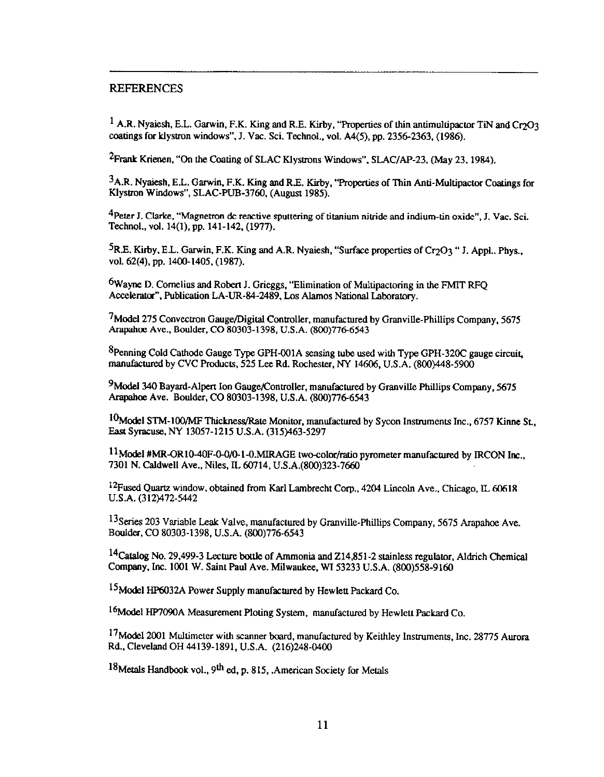### REFERENCES

<sup>1</sup> A.R. Nyaiesh, E.L. Garwin, F.K. King and R.E. Kirby, "Properties of thin antimultipactor TiN and Cr<sub>2</sub>O<sub>3</sub> coatings for klystron windows", J. Vac. Sci. Technol., vol. A4(5), pp. 2356-2363, (1986).

<sup>2</sup>Frank Krienen, "On the Coating of SLAC Klystrons Windows". SLAC/AP-23, (May 23, 1984).

3A.R. Nyaiesh, E.L. Garwin, F.K. King and R.E. Kirby, "Properties of Thin Anti-Multipactor Coatings for Klystron Windows", SLAC-PUB-3760, (August 1985).

 $4$ Peter J. Clarke, "Magnetron dc reactive sputtering of titanium nitride and indium-tin oxide". J. Vac. Sci. Techool., vol. 14(l), pp. 141-142, (1977).

<sup>5</sup>R.E. Kirby, E.L. Garwin, F.K. King and A.R. Nyaiesh, "Surface properties of Cr<sub>2</sub>O<sub>3</sub> " J. Appl., Phys., vol. 62(4), pp. 1400-1405, (1987).

 $6$ Wayne D. Cornelius and Robert J. Grieggs, "Elimination of Multipactoring in the FMIT RFQ Accelerator", Publication LA-UR-84-2489, Los Alamos National Laboratory.

 $7$ Model 275 Convectron Gauge/Digital Controller, manufactured by Granville-Phillips Company, 5675 Arapahce Ave., Boulder. CO 80303-1398, U.S.A. (800)77&6543

 $8$ Penning Cold Cathode Gauge Type GPH-001A sensing tube used with Type GPH-320C gauge circuit. manufactured by CVC Products, 525 Lee Rd. Rochester. NY 14606. U.S.A. (800)448-5900

<sup>9</sup>Model 340 Bayard-Alpert Ion Gauge/Controller, manufactured by Granville Phillips Company, 5675 Arapahoe Ave. Boulder, CO 80303-1398, U.S.A. (800)776-6543

 $10$ Model STM-100/MF Thickness/Rate Monitor, manufactured by Sycon Instruments Inc., 6757 Kinne St., East Syracuse, NY 13057-1215 U.S.A. (315)463-5297

 $11$ Model #MR-OR10-40F-0-0/0-1-0.MIRAGE two-color/ratio pyrometer manufactured by IRCON Inc., 7301 N. Caldwell Ave., Niles. IL 60714, U.S.A.(800)323-7660

 $12$ Fused Quartz window, obtained from Karl Lambrecht Corp., 4204 Lincoln Ave., Chicago, IL 60618 U.S.A. (312)472-5442

<sup>13</sup>Series 203 Variable Leak Valve, manufactured by Granville-Phillips Company, 5675 Arapahoe Ave. Boulder, CO 80303-1398, U.S.A. (800)776-6543

<sup>14</sup>Catalog No. 29,499-3 Lecture bottle of Ammonia and Z14,851-2 stainless regulator, Aldrich Chemical Company, Ioc. 1001 W. Saint Paul Ave. Milwaukee. WI 53233 U.S.A. (800)558-9160

<sup>15</sup>Model HP6032A Power Supply manufactured by Hewlett Packard Co.

<sup>16</sup>Model HP7090A Measurement Ploting System, manufactured by Hewlett Packard Co.

<sup>17</sup>Model 2001 Multimeter with scanner board, manufactured by Keithley Instruments, Inc. 28775 Aurora Rd., Cleveland OH 44139-1891, U.S.A. (216)248-0400

18 Metals Handbook vol., 9<sup>th</sup> ed. p. 815, .American Society for Metals